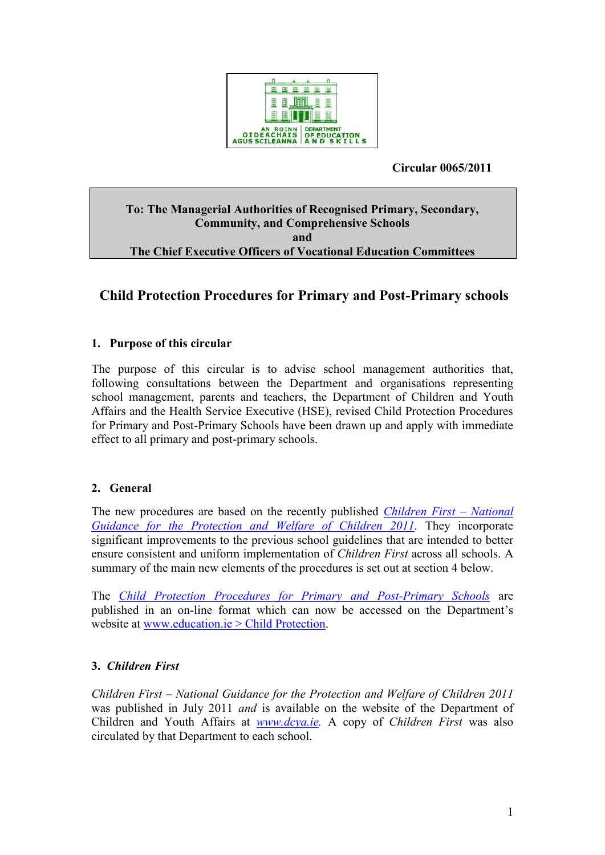

## **Circular 0065/2011**

#### **To: The Managerial Authorities of Recognised Primary, Secondary, Community, and Comprehensive Schools and The Chief Executive Officers of Vocational Education Committees**

## **Child Protection Procedures for Primary and Post-Primary schools**

## **1. Purpose of this circular**

The purpose of this circular is to advise school management authorities that, following consultations between the Department and organisations representing school management, parents and teachers, the Department of Children and Youth Affairs and the Health Service Executive (HSE), revised Child Protection Procedures for Primary and Post-Primary Schools have been drawn up and apply with immediate effect to all primary and post-primary schools.

## **2. General**

The new procedures are based on the recently published *[Children First](http://www.dcya.gov.ie/documents/Publications/ChildrenFirst.pdf) – National [Guidance for the Protection and Welfare of Children 2011.](http://www.dcya.gov.ie/documents/Publications/ChildrenFirst.pdf)* They incorporate significant improvements to the previous school guidelines that are intended to better ensure consistent and uniform implementation of *Children First* across all schools. A summary of the main new elements of the procedures is set out at section 4 below.

The *[Child Protection Procedures for Primary and Post-Primary Schools](http://www.education.ie/en/Schools-Colleges/Information/Child-Protection/cp_procedures_primary_post_primary_2011.pdf)* are published in an on-line format which can now be accessed on the Department's website at [www.education.ie > Child Protection.](http://www.education.ie/en/Parents/Information/Child-Protection/Child-Protection.html)

## **3.** *Children First*

*Children First – National Guidance for the Protection and Welfare of Children 2011* was published in July 2011 *and* is available on the website of the Department of Children and Youth Affairs at *[www.dcya.ie.](http://www.dcya.ie/)* A copy of *Children First* was also circulated by that Department to each school.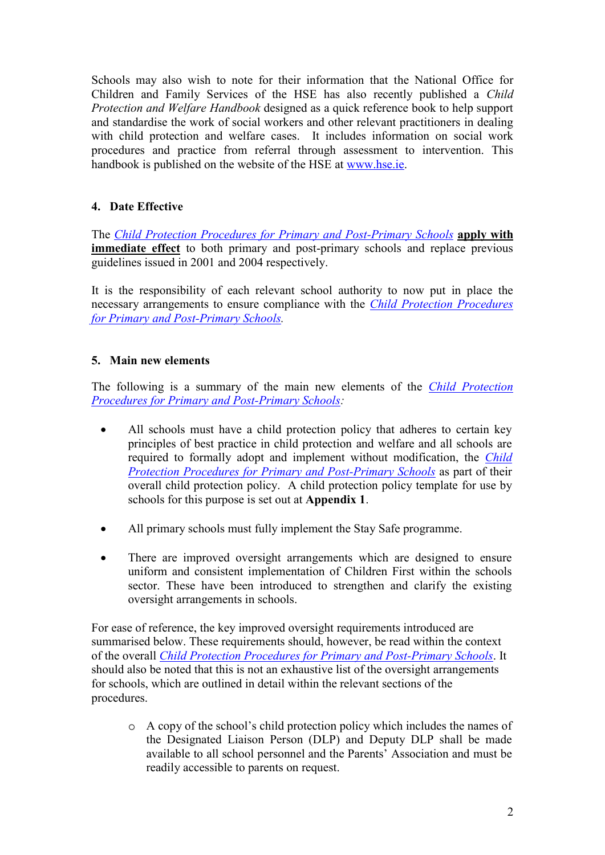Schools may also wish to note for their information that the National Office for Children and Family Services of the HSE has also recently published a *Child Protection and Welfare Handbook* designed as a quick reference book to help support and standardise the work of social workers and other relevant practitioners in dealing with child protection and welfare cases. It includes information on social work procedures and practice from referral through assessment to intervention. This handbook is published on the website of the HSE at [www.hse.ie.](http://www.hse.ie/)

## **4. Date Effective**

The *[Child Protection Procedures for Primary and Post-Primary Schools](http://www.education.ie/en/Schools-Colleges/Information/Child-Protection/cp_procedures_primary_post_primary_2011.pdf)* **apply with immediate effect** to both primary and post-primary schools and replace previous guidelines issued in 2001 and 2004 respectively.

It is the responsibility of each relevant school authority to now put in place the necessary arrangements to ensure compliance with the *[Child Protection Procedures](http://www.education.ie/en/Schools-Colleges/Information/Child-Protection/cp_procedures_primary_post_primary_2011.pdf)  [for Primary and Post-Primary Schools.](http://www.education.ie/en/Schools-Colleges/Information/Child-Protection/cp_procedures_primary_post_primary_2011.pdf)* 

## **5. Main new elements**

The following is a summary of the main new elements of the *[Child Protection](http://www.education.ie/en/Schools-Colleges/Information/Child-Protection/cp_procedures_primary_post_primary_2011.pdf)  [Procedures for Primary and Post-Primary Schools:](http://www.education.ie/en/Schools-Colleges/Information/Child-Protection/cp_procedures_primary_post_primary_2011.pdf)* 

- All schools must have a child protection policy that adheres to certain key principles of best practice in child protection and welfare and all schools are required to formally adopt and implement without modification, the *[Child](http://www.education.ie/en/Schools-Colleges/Information/Child-Protection/cp_procedures_primary_post_primary_2011.pdf)  [Protection Procedures for Primary and Post-Primary Schools](http://www.education.ie/en/Schools-Colleges/Information/Child-Protection/cp_procedures_primary_post_primary_2011.pdf)* as part of their overall child protection policy. A child protection policy template for use by schools for this purpose is set out at **Appendix 1**.
- All primary schools must fully implement the Stay Safe programme.
- There are improved oversight arrangements which are designed to ensure uniform and consistent implementation of Children First within the schools sector. These have been introduced to strengthen and clarify the existing oversight arrangements in schools.

For ease of reference, the key improved oversight requirements introduced are summarised below. These requirements should, however, be read within the context of the overall *[Child Protection Procedures for Primary and Post-Primary Schools](http://www.education.ie/en/Schools-Colleges/Information/Child-Protection/cp_procedures_primary_post_primary_2011.pdf)*. It should also be noted that this is not an exhaustive list of the oversight arrangements for schools, which are outlined in detail within the relevant sections of the procedures.

o A copy of the school's child protection policy which includes the names of the Designated Liaison Person (DLP) and Deputy DLP shall be made available to all school personnel and the Parents' Association and must be readily accessible to parents on request.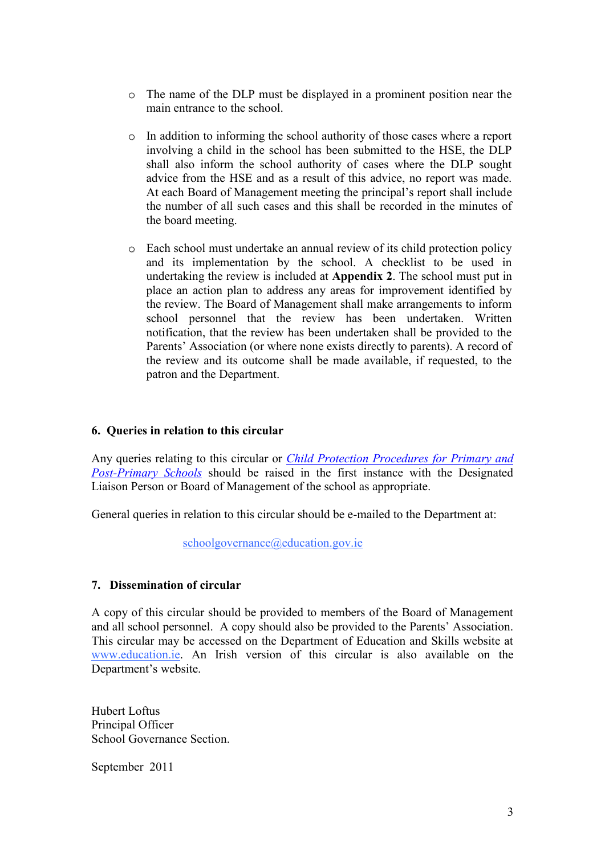- o The name of the DLP must be displayed in a prominent position near the main entrance to the school.
- o In addition to informing the school authority of those cases where a report involving a child in the school has been submitted to the HSE, the DLP shall also inform the school authority of cases where the DLP sought advice from the HSE and as a result of this advice, no report was made. At each Board of Management meeting the principal's report shall include the number of all such cases and this shall be recorded in the minutes of the board meeting.
- o Each school must undertake an annual review of its child protection policy and its implementation by the school. A checklist to be used in undertaking the review is included at **Appendix 2**. The school must put in place an action plan to address any areas for improvement identified by the review. The Board of Management shall make arrangements to inform school personnel that the review has been undertaken. Written notification, that the review has been undertaken shall be provided to the Parents' Association (or where none exists directly to parents). A record of the review and its outcome shall be made available, if requested, to the patron and the Department.

## **6. Queries in relation to this circular**

Any queries relating to this circular or *[Child Protection Procedures for Primary and](http://www.education.ie/en/Schools-Colleges/Information/Child-Protection/cp_procedures_primary_post_primary_2011.pdf)  [Post-Primary Schools](http://www.education.ie/en/Schools-Colleges/Information/Child-Protection/cp_procedures_primary_post_primary_2011.pdf)* should be raised in the first instance with the Designated Liaison Person or Board of Management of the school as appropriate.

General queries in relation to this circular should be e-mailed to the Department at:

[schoolgovernance@education.gov.ie](mailto:schoolgovernance@education.gov.ie)

#### **7. Dissemination of circular**

A copy of this circular should be provided to members of the Board of Management and all school personnel. A copy should also be provided to the Parents' Association. This circular may be accessed on the Department of Education and Skills website at [www.education.ie.](http://www.education.ie/) An Irish version of this circular is also available on the Department's website.

Hubert Loftus Principal Officer School Governance Section.

September 2011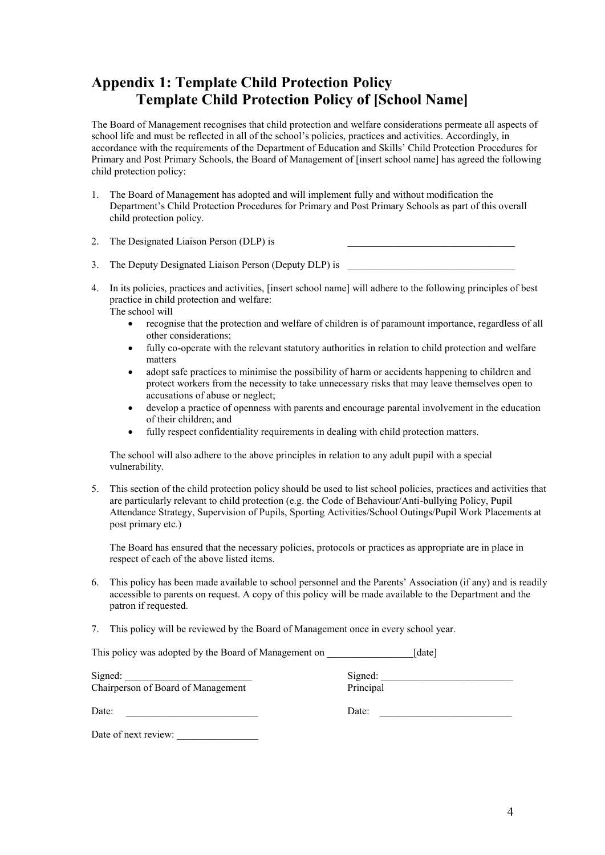## **Appendix 1: Template Child Protection Policy Template Child Protection Policy of [School Name]**

The Board of Management recognises that child protection and welfare considerations permeate all aspects of school life and must be reflected in all of the school's policies, practices and activities. Accordingly, in accordance with the requirements of the Department of Education and Skills' Child Protection Procedures for Primary and Post Primary Schools, the Board of Management of [insert school name] has agreed the following child protection policy:

- 1. The Board of Management has adopted and will implement fully and without modification the Department's Child Protection Procedures for Primary and Post Primary Schools as part of this overall child protection policy.
- 2. The Designated Liaison Person (DLP) is

Date of next review:

3. The Deputy Designated Liaison Person (Deputy DLP) is

- 4. In its policies, practices and activities, [insert school name] will adhere to the following principles of best practice in child protection and welfare: The school will
	- recognise that the protection and welfare of children is of paramount importance, regardless of all other considerations;
	- fully co-operate with the relevant statutory authorities in relation to child protection and welfare matters
	- adopt safe practices to minimise the possibility of harm or accidents happening to children and protect workers from the necessity to take unnecessary risks that may leave themselves open to accusations of abuse or neglect;
	- develop a practice of openness with parents and encourage parental involvement in the education of their children; and
	- fully respect confidentiality requirements in dealing with child protection matters.

The school will also adhere to the above principles in relation to any adult pupil with a special vulnerability.

5. This section of the child protection policy should be used to list school policies, practices and activities that are particularly relevant to child protection (e.g. the Code of Behaviour/Anti-bullying Policy, Pupil Attendance Strategy, Supervision of Pupils, Sporting Activities/School Outings/Pupil Work Placements at post primary etc.)

The Board has ensured that the necessary policies, protocols or practices as appropriate are in place in respect of each of the above listed items.

- 6. This policy has been made available to school personnel and the Parents' Association (if any) and is readily accessible to parents on request. A copy of this policy will be made available to the Department and the patron if requested.
- 7. This policy will be reviewed by the Board of Management once in every school year.

| This policy was adopted by the Board of Management on<br>[date] |           |
|-----------------------------------------------------------------|-----------|
| Signed:                                                         | Signed:   |
| Chairperson of Board of Management                              | Principal |
| Date:                                                           | Date:     |
|                                                                 |           |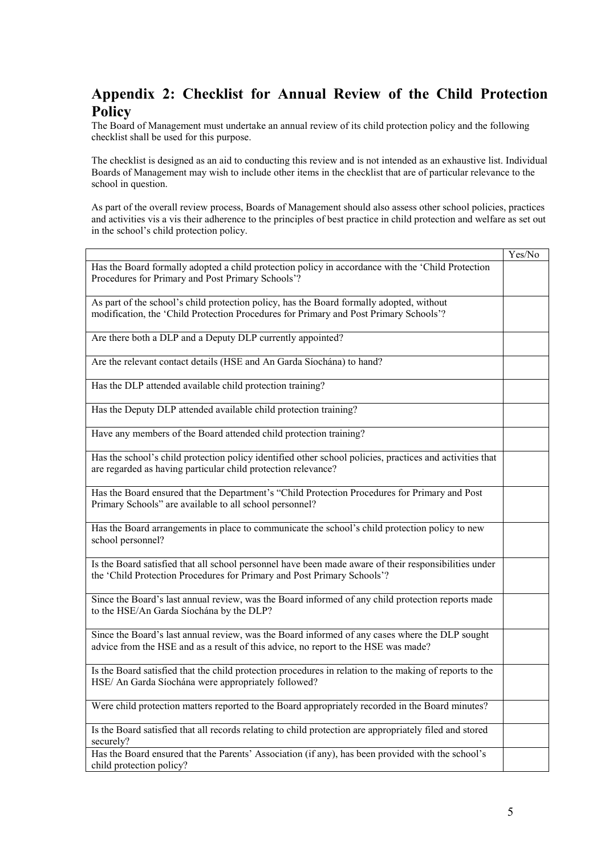# **Appendix 2: Checklist for Annual Review of the Child Protection Policy**

The Board of Management must undertake an annual review of its child protection policy and the following checklist shall be used for this purpose.

The checklist is designed as an aid to conducting this review and is not intended as an exhaustive list. Individual Boards of Management may wish to include other items in the checklist that are of particular relevance to the school in question.

As part of the overall review process, Boards of Management should also assess other school policies, practices and activities vis a vis their adherence to the principles of best practice in child protection and welfare as set out in the school's child protection policy.

|                                                                                                                                                                                      | Yes/No |
|--------------------------------------------------------------------------------------------------------------------------------------------------------------------------------------|--------|
| Has the Board formally adopted a child protection policy in accordance with the 'Child Protection<br>Procedures for Primary and Post Primary Schools'?                               |        |
| As part of the school's child protection policy, has the Board formally adopted, without<br>modification, the 'Child Protection Procedures for Primary and Post Primary Schools'?    |        |
| Are there both a DLP and a Deputy DLP currently appointed?                                                                                                                           |        |
| Are the relevant contact details (HSE and An Garda Síochána) to hand?                                                                                                                |        |
| Has the DLP attended available child protection training?                                                                                                                            |        |
| Has the Deputy DLP attended available child protection training?                                                                                                                     |        |
| Have any members of the Board attended child protection training?                                                                                                                    |        |
| Has the school's child protection policy identified other school policies, practices and activities that<br>are regarded as having particular child protection relevance?            |        |
| Has the Board ensured that the Department's "Child Protection Procedures for Primary and Post<br>Primary Schools" are available to all school personnel?                             |        |
| Has the Board arrangements in place to communicate the school's child protection policy to new<br>school personnel?                                                                  |        |
| Is the Board satisfied that all school personnel have been made aware of their responsibilities under<br>the 'Child Protection Procedures for Primary and Post Primary Schools'?     |        |
| Since the Board's last annual review, was the Board informed of any child protection reports made<br>to the HSE/An Garda Síochána by the DLP?                                        |        |
| Since the Board's last annual review, was the Board informed of any cases where the DLP sought<br>advice from the HSE and as a result of this advice, no report to the HSE was made? |        |
| Is the Board satisfied that the child protection procedures in relation to the making of reports to the<br>HSE/ An Garda Síochána were appropriately followed?                       |        |
| Were child protection matters reported to the Board appropriately recorded in the Board minutes?                                                                                     |        |
| Is the Board satisfied that all records relating to child protection are appropriately filed and stored<br>securely?                                                                 |        |
| Has the Board ensured that the Parents' Association (if any), has been provided with the school's<br>child protection policy?                                                        |        |